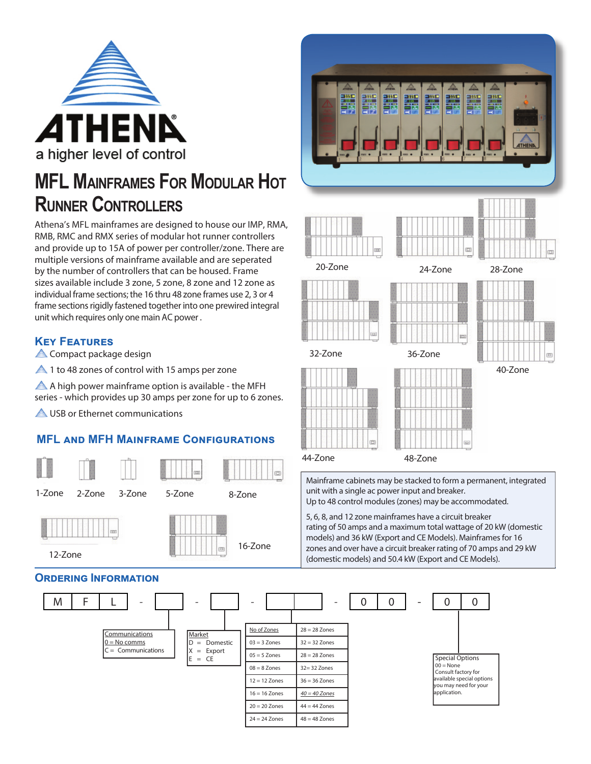

# **MFL MAINFRAMES FOR MODULAR HOT RUNNER CONTROLLERS**

Athena's MFL mainframes are designed to house our IMP, RMA, RMB, RMC and RMX series of modular hot runner controllers and provide up to 15A of power per controller/zone. There are multiple versions of mainframe available and are seperated by the number of controllers that can be housed. Frame sizes available include 3 zone, 5 zone, 8 zone and 12 zone as individual frame sections; the 16 thru 48 zone frames use 2, 3 or 4 frame sections rigidly fastened together into one prewired integral unit which requires only one main AC power .

### **KEY FEATURES**

**A** Compact package design

**4** 1 to 48 zones of control with 15 amps per zone

A high power mainframe option is available - the MFH series - which provides up 30 amps per zone for up to 6 zones.

A USB or Ethernet communications

## **MFL AND MFH MAINFRAME CONFIGURATIONS**



#### M F L - - - - 0 0 - 0 0 **Communications**  $0 = No$  comms  $C =$  Communications Market D = Domestic  $X =$  Export  $X =$  Export  $S = 5$  Zones  $28 = 28$  Zones  $S = \frac{1}{28}$  Special Options  $00 = None$ Consult factory for available special options you may need for your pplication No of Zones  $28 = 28$  Zones  $03 = 3$  Zones  $32 = 32$  Zones  $28 = 28$  Zones  $08 = 8$  Zones 32= 32 Zones 12 = 12 Zones 36 = 36 Zones 16 = 16 Zones  $40 = 40$  Zones  $20 = 20$  Zones  $44 = 44$  Zones  $24 = 24$  Zones  $48 = 48$  Zones Mainframe cabinets may be stacked to form a permanent, integrated unit with a single ac power input and breaker. Up to 48 control modules (zones) may be accommodated. 5, 6, 8, and 12 zone mainframes have a circuit breaker rating of 50 amps and a maximum total wattage of 20 kW (domestic models) and 36 kW (Export and CE Models). Mainframes for 16 zones and over have a circuit breaker rating of 70 amps and 29 kW (domestic models) and 50.4 kW (Export and CE Models).